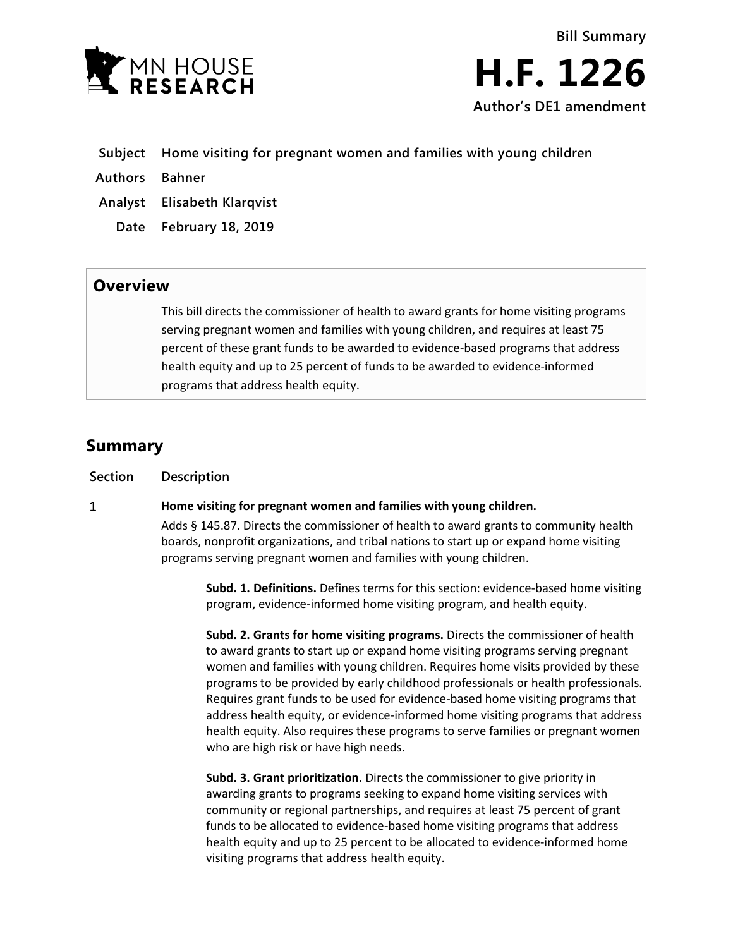

- **Subject Home visiting for pregnant women and families with young children**
- **Authors Bahner**
- **Analyst Elisabeth Klarqvist**
- **Date February 18, 2019**

## **Overview**

This bill directs the commissioner of health to award grants for home visiting programs serving pregnant women and families with young children, and requires at least 75 percent of these grant funds to be awarded to evidence-based programs that address health equity and up to 25 percent of funds to be awarded to evidence-informed programs that address health equity.

## **Summary**

| Section | <b>Description</b>                                                                                                                                                                                                                                    |
|---------|-------------------------------------------------------------------------------------------------------------------------------------------------------------------------------------------------------------------------------------------------------|
| 1       | Home visiting for pregnant women and families with young children.                                                                                                                                                                                    |
|         | Adds § 145.87. Directs the commissioner of health to award grants to community health<br>boards, nonprofit organizations, and tribal nations to start up or expand home visiting<br>programs serving pregnant women and families with young children. |
|         | Subd. 1. Definitions. Defines terms for this section: evidence-based home visiting<br>program, evidence-informed home visiting program, and health equity.                                                                                            |
|         | Subd. 2. Grants for home visiting programs. Directs the commissioner of health<br>to award grants to start up or expand home visiting programs serving pregnant                                                                                       |

to award grants to start up or expand home visiting programs serving pregnant women and families with young children. Requires home visits provided by these programs to be provided by early childhood professionals or health professionals. Requires grant funds to be used for evidence-based home visiting programs that address health equity, or evidence-informed home visiting programs that address health equity. Also requires these programs to serve families or pregnant women who are high risk or have high needs.

**Subd. 3. Grant prioritization.** Directs the commissioner to give priority in awarding grants to programs seeking to expand home visiting services with community or regional partnerships, and requires at least 75 percent of grant funds to be allocated to evidence-based home visiting programs that address health equity and up to 25 percent to be allocated to evidence-informed home visiting programs that address health equity.